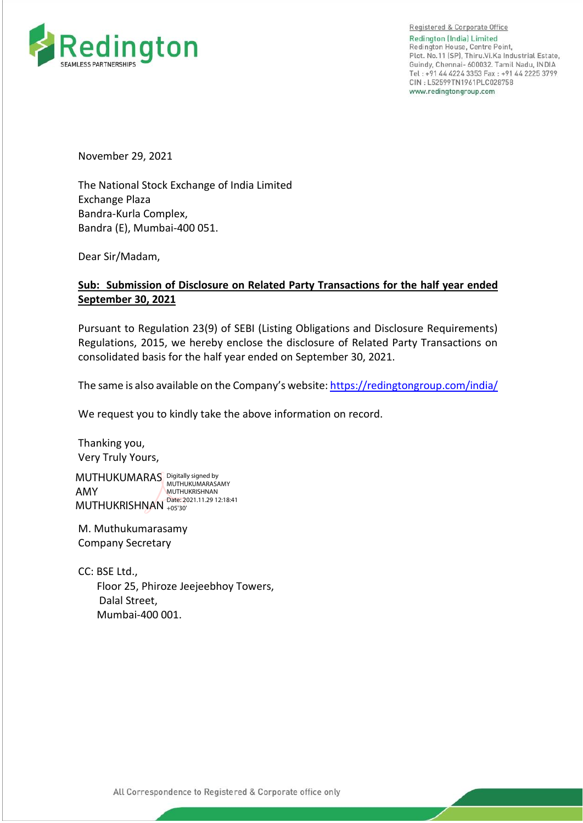

Registered & Corporate Office Redington (India) Limited Redington House, Centre Point, Plot. No.11 [SP], Thiru.Vi.Ka Industrial Estate, Guindy, Chennai- 600032. Tamil Nadu, INDIA Tel: +91 44 4224 3353 Fax: +91 44 2225 3799 CIN: L52599TN1961PLC028758 www.redingtongroup.com

November 29, 2021

The National Stock Exchange of India Limited Exchange Plaza Bandra-Kurla Complex, Bandra (E), Mumbai-400 051.

Dear Sir/Madam,

# **Sub: Submission of Disclosure on Related Party Transactions for the half year ended September 30, 2021**

Pursuant to Regulation 23(9) of SEBI (Listing Obligations and Disclosure Requirements) Regulations, 2015, we hereby enclose the disclosure of Related Party Transactions on consolidated basis for the half year ended on September 30, 2021.

The same is also available on the Company's website[: https://redingtongroup.com/india/](https://redingtongroup.com/india/)

We request you to kindly take the above information on record.

Thanking you, Very Truly Yours,

MUTHUKUMARAS Digitally signed by AMY MUTHUKRISHNAN <sup>Date: 2021.11.29</sup> 12:18:41 MUTHUKUMARASAMY MUTHUKRISHNAN +05'30'

M. Muthukumarasamy Company Secretary

CC: BSE Ltd., Floor 25, Phiroze Jeejeebhoy Towers, Dalal Street, Mumbai-400 001.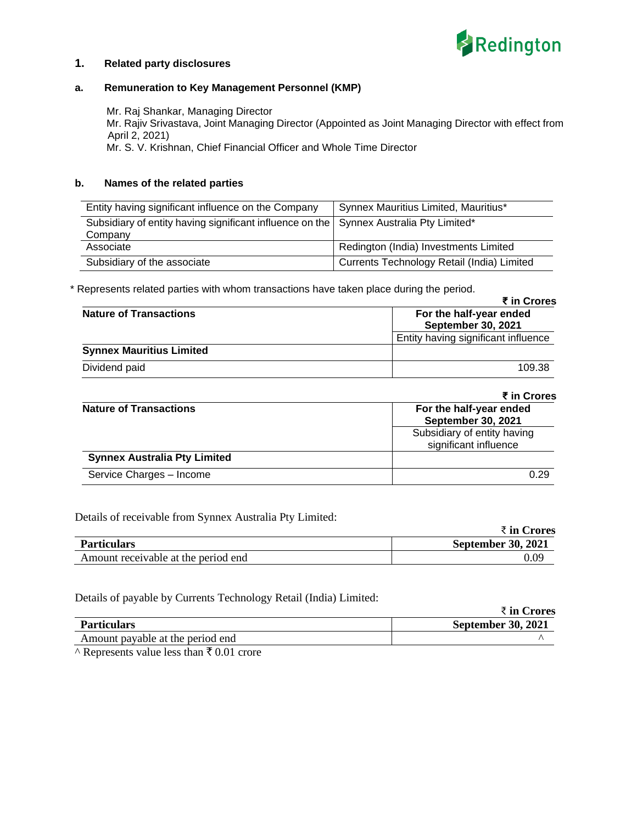

### **1. Related party disclosures**

### **a. Remuneration to Key Management Personnel (KMP)**

 Mr. Raj Shankar, Managing Director Mr. Rajiv Srivastava, Joint Managing Director (Appointed as Joint Managing Director with effect from April 2, 2021) Mr. S. V. Krishnan, Chief Financial Officer and Whole Time Director

#### **b. Names of the related parties**

| Entity having significant influence on the Company                                                | Synnex Mauritius Limited, Mauritius*       |
|---------------------------------------------------------------------------------------------------|--------------------------------------------|
| Subsidiary of entity having significant influence on the Synnex Australia Pty Limited*<br>Company |                                            |
| Associate                                                                                         | Redington (India) Investments Limited      |
| Subsidiary of the associate                                                                       | Currents Technology Retail (India) Limited |

\* Represents related parties with whom transactions have taken place during the period.

|                                 | ₹ in Crores                         |
|---------------------------------|-------------------------------------|
| <b>Nature of Transactions</b>   | For the half-year ended             |
|                                 | <b>September 30, 2021</b>           |
|                                 | Entity having significant influence |
| <b>Synnex Mauritius Limited</b> |                                     |
| Dividend paid                   | 109.38                              |

|                                     | ₹ in Crores                                          |
|-------------------------------------|------------------------------------------------------|
| <b>Nature of Transactions</b>       | For the half-year ended<br><b>September 30, 2021</b> |
|                                     | Subsidiary of entity having<br>significant influence |
| <b>Synnex Australia Pty Limited</b> |                                                      |
| Service Charges - Income            | 0.29                                                 |

Details of receivable from Synnex Australia Pty Limited:

|                                     | ₹ in Crores               |  |
|-------------------------------------|---------------------------|--|
| <b>Particulars</b>                  | <b>September 30, 2021</b> |  |
| Amount receivable at the period end | 0.09                      |  |

Details of payable by Currents Technology Retail (India) Limited:

|                                  | ₹ in Crores               |
|----------------------------------|---------------------------|
| <b>Particulars</b>               | <b>September 30, 2021</b> |
| Amount payable at the period end |                           |

 $\overline{\wedge}$  Represents value less than  $\overline{\mathfrak{r}}$  0.01 crore